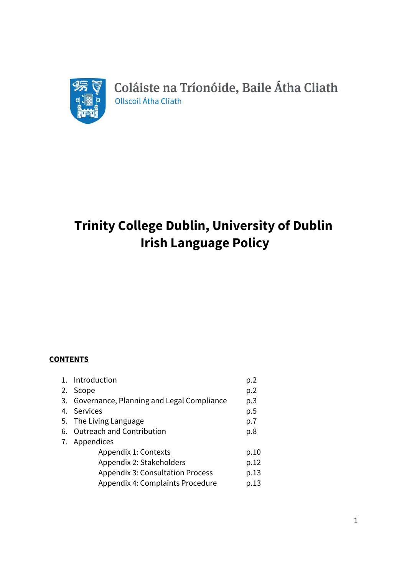

Coláiste na Tríonóide, Baile Átha Cliath Ollscoil Átha Cliath

# **Trinity College Dublin, University of Dublin Irish Language Policy**

## **CONTENTS**

| 1. Introduction                              | p.2  |
|----------------------------------------------|------|
| 2. Scope                                     | p.2  |
| 3. Governance, Planning and Legal Compliance | p.3  |
| 4. Services                                  | p.5  |
| 5. The Living Language                       | p.7  |
| 6. Outreach and Contribution                 | p.8  |
| 7. Appendices                                |      |
| Appendix 1: Contexts                         | p.10 |
| Appendix 2: Stakeholders                     | p.12 |
| <b>Appendix 3: Consultation Process</b>      | p.13 |
| Appendix 4: Complaints Procedure             | p.13 |
|                                              |      |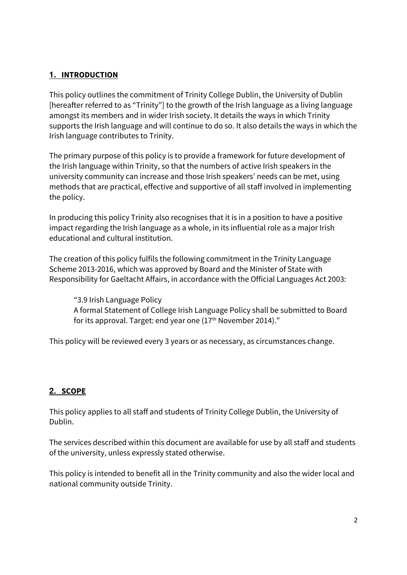## **1. INTRODUCTION**

This policy outlines the commitment of Trinity College Dublin, the University of Dublin [hereafter referred to as "Trinity"] to the growth of the Irish language as a living language amongst its members and in wider Irish society. It details the ways in which Trinity supports the Irish language and will continue to do so. It also details the ways in which the Irish language contributes to Trinity.

The primary purpose of this policy is to provide a framework for future development of the Irish language within Trinity, so that the numbers of active Irish speakers in the university community can increase and those Irish speakers' needs can be met, using methods that are practical, effective and supportive of all staff involved in implementing the policy.

In producing this policy Trinity also recognises that it is in a position to have a positive impact regarding the Irish language as a whole, in its influential role as a major Irish educational and cultural institution.

The creation of this policy fulfils the following commitment in the Trinity Language Scheme 2013-2016, which was approved by Board and the Minister of State with Responsibility for Gaeltacht Affairs, in accordance with the Official Languages Act 2003:

Ȋ3.9 Irish Language Policy A formal Statement of College Irish Language Policy shall be submitted to Board for its approval. Target: end year one (17<sup>th</sup> November 2014)."

This policy will be reviewed every 3 years or as necessary, as circumstances change.

## **2. SCOPE**

This policy applies to all staff and students of Trinity College Dublin, the University of Dublin.

The services described within this document are available for use by all staff and students of the university, unless expressly stated otherwise.

This policy is intended to benefit all in the Trinity community and also the wider local and national community outside Trinity.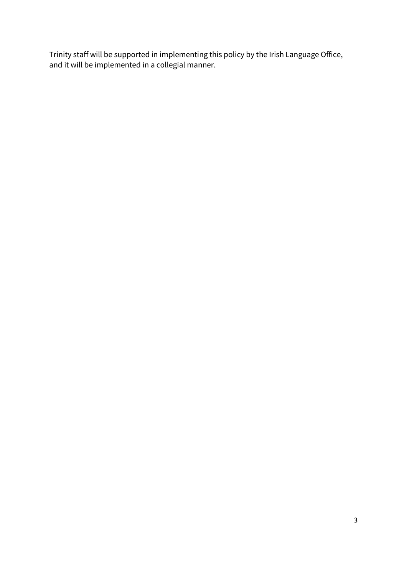Trinity staff will be supported in implementing this policy by the Irish Language Office, and it will be implemented in a collegial manner.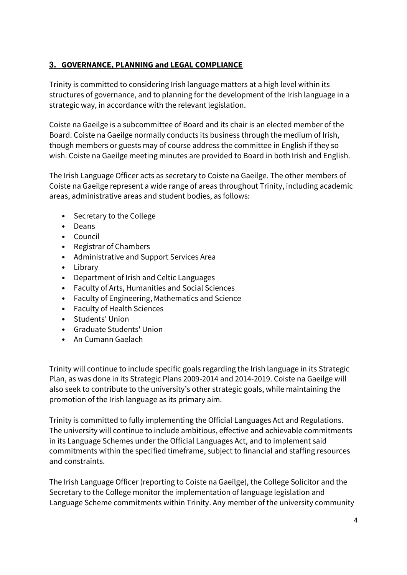## **3. GOVERNANCE, PLANNING and LEGAL COMPLIANCE**

Trinity is committed to considering Irish language matters at a high level within its structures of governance, and to planning for the development of the Irish language in a strategic way, in accordance with the relevant legislation.

Coiste na Gaeilge is a subcommittee of Board and its chair is an elected member of the Board. Coiste na Gaeilge normally conducts its business through the medium of Irish, though members or guests may of course address the committee in English if they so wish. Coiste na Gaeilge meeting minutes are provided to Board in both Irish and English.

The Irish Language Officer acts as secretary to Coiste na Gaeilge. The other members of Coiste na Gaeilge represent a wide range of areas throughout Trinity, including academic areas, administrative areas and student bodies, as follows:

- Secretary to the College
- Deans
- Council
- Registrar of Chambers
- Administrative and Support Services Area
- Library
- Department of Irish and Celtic Languages
- Faculty of Arts, Humanities and Social Sciences
- Faculty of Engineering, Mathematics and Science
- Faculty of Health Sciences
- Students' Union
- Graduate Students' Union
- An Cumann Gaelach

Trinity will continue to include specific goals regarding the Irish language in its Strategic Plan, as was done in its Strategic Plans 2009-2014 and 2014-2019. Coiste na Gaeilge will also seek to contribute to the university's other strategic goals, while maintaining the promotion of the Irish language as its primary aim.

Trinity is committed to fully implementing the Official Languages Act and Regulations. The university will continue to include ambitious, effective and achievable commitments in its Language Schemes under the Official Languages Act, and to implement said commitments within the specified timeframe, subject to financial and staffing resources and constraints.

The Irish Language Officer (reporting to Coiste na Gaeilge), the College Solicitor and the Secretary to the College monitor the implementation of language legislation and Language Scheme commitments within Trinity. Any member of the university community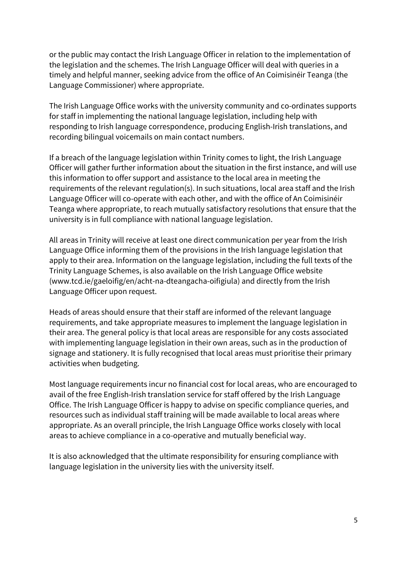or the public may contact the Irish Language Officer in relation to the implementation of the legislation and the schemes. The Irish Language Officer will deal with queries in a timely and helpful manner, seeking advice from the office of An Coimisinéir Teanga (the Language Commissioner) where appropriate.

The Irish Language Office works with the university community and co-ordinates supports for staff in implementing the national language legislation, including help with responding to Irish language correspondence, producing English-Irish translations, and recording bilingual voicemails on main contact numbers.

If a breach of the language legislation within Trinity comes to light, the Irish Language Officer will gather further information about the situation in the first instance, and will use this information to offer support and assistance to the local area in meeting the requirements of the relevant regulation(s). In such situations, local area staff and the Irish Language Officer will co-operate with each other, and with the office of An Coimisinéir Teanga where appropriate, to reach mutually satisfactory resolutions that ensure that the university is in full compliance with national language legislation.

All areas in Trinity will receive at least one direct communication per year from the Irish Language Office informing them of the provisions in the Irish language legislation that apply to their area. Information on the language legislation, including the full texts of the Trinity Language Schemes, is also available on the Irish Language Office website (www.tcd.ie/gaeloifig/en/acht-na-dteangacha-oifigiula) and directly from the Irish Language Officer upon request.

Heads of areas should ensure that their staff are informed of the relevant language requirements, and take appropriate measures to implement the language legislation in their area. The general policy is that local areas are responsible for any costs associated with implementing language legislation in their own areas, such as in the production of signage and stationery. It is fully recognised that local areas must prioritise their primary activities when budgeting.

Most language requirements incur no financial cost for local areas, who are encouraged to avail of the free English-Irish translation service for staff offered by the Irish Language Office. The Irish Language Officer is happy to advise on specific compliance queries, and resources such as individual staff training will be made available to local areas where appropriate. As an overall principle, the Irish Language Office works closely with local areas to achieve compliance in a co-operative and mutually beneficial way.

It is also acknowledged that the ultimate responsibility for ensuring compliance with language legislation in the university lies with the university itself.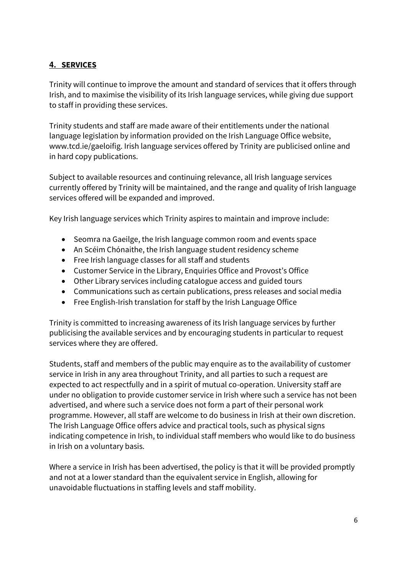# **4. SERVICES**

Trinity will continue to improve the amount and standard of services that it offers through Irish, and to maximise the visibility of its Irish language services, while giving due support to staff in providing these services.

Trinity students and staff are made aware of their entitlements under the national language legislation by information provided on the Irish Language Office website, www.tcd.ie/gaeloifig. Irish language services offered by Trinity are publicised online and in hard copy publications.

Subject to available resources and continuing relevance, all Irish language services currently offered by Trinity will be maintained, and the range and quality of Irish language services offered will be expanded and improved.

Key Irish language services which Trinity aspires to maintain and improve include:

- Seomra na Gaeilge, the Irish language common room and events space
- An Scéim Chónaithe, the Irish language student residency scheme
- Free Irish language classes for all staff and students
- Customer Service in the Library, Enquiries Office and Provost's Office
- Other Library services including catalogue access and guided tours
- Communications such as certain publications, press releases and social media
- Free English-Irish translation for staff by the Irish Language Office

Trinity is committed to increasing awareness of its Irish language services by further publicising the available services and by encouraging students in particular to request services where they are offered.

Students, staff and members of the public may enquire as to the availability of customer service in Irish in any area throughout Trinity, and all parties to such a request are expected to act respectfully and in a spirit of mutual co-operation. University staff are under no obligation to provide customer service in Irish where such a service has not been advertised, and where such a service does not form a part of their personal work programme. However, all staff are welcome to do business in Irish at their own discretion. The Irish Language Office offers advice and practical tools, such as physical signs indicating competence in Irish, to individual staff members who would like to do business in Irish on a voluntary basis.

Where a service in Irish has been advertised, the policy is that it will be provided promptly and not at a lower standard than the equivalent service in English, allowing for unavoidable fluctuations in staffing levels and staff mobility.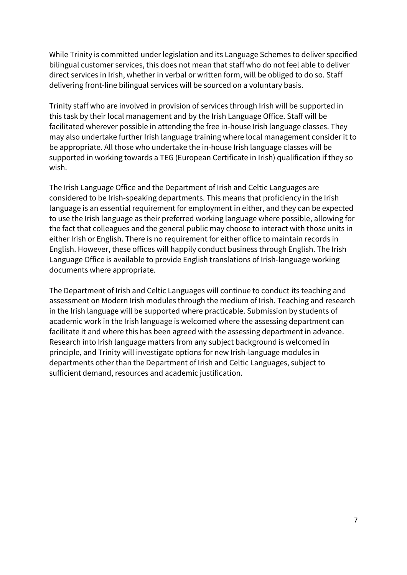While Trinity is committed under legislation and its Language Schemes to deliver specified bilingual customer services, this does not mean that staff who do not feel able to deliver direct services in Irish, whether in verbal or written form, will be obliged to do so. Staff delivering front-line bilingual services will be sourced on a voluntary basis.

Trinity staff who are involved in provision of services through Irish will be supported in this task by their local management and by the Irish Language Office. Staff will be facilitated wherever possible in attending the free in-house Irish language classes. They may also undertake further Irish language training where local management consider it to be appropriate. All those who undertake the in-house Irish language classes will be supported in working towards a TEG (European Certificate in Irish) qualification if they so wish.

The Irish Language Office and the Department of Irish and Celtic Languages are considered to be Irish-speaking departments. This means that proficiency in the Irish language is an essential requirement for employment in either, and they can be expected to use the Irish language as their preferred working language where possible, allowing for the fact that colleagues and the general public may choose to interact with those units in either Irish or English. There is no requirement for either office to maintain records in English. However, these offices will happily conduct business through English. The Irish Language Office is available to provide English translations of Irish-language working documents where appropriate.

The Department of Irish and Celtic Languages will continue to conduct its teaching and assessment on Modern Irish modules through the medium of Irish. Teaching and research in the Irish language will be supported where practicable. Submission by students of academic work in the Irish language is welcomed where the assessing department can facilitate it and where this has been agreed with the assessing department in advance. Research into Irish language matters from any subject background is welcomed in principle, and Trinity will investigate options for new Irish-language modules in departments other than the Department of Irish and Celtic Languages, subject to sufficient demand, resources and academic justification.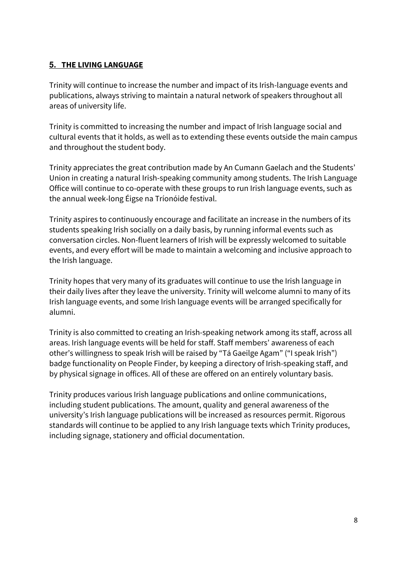## **5. THE LIVING LANGUAGE**

Trinity will continue to increase the number and impact of its Irish-language events and publications, always striving to maintain a natural network of speakers throughout all areas of university life.

Trinity is committed to increasing the number and impact of Irish language social and cultural events that it holds, as well as to extending these events outside the main campus and throughout the student body.

Trinity appreciates the great contribution made by An Cumann Gaelach and the Students' Union in creating a natural Irish-speaking community among students. The Irish Language Office will continue to co-operate with these groups to run Irish language events, such as the annual week-long Éigse na Tríonóide festival.

Trinity aspires to continuously encourage and facilitate an increase in the numbers of its students speaking Irish socially on a daily basis, by running informal events such as conversation circles. Non-fluent learners of Irish will be expressly welcomed to suitable events, and every effort will be made to maintain a welcoming and inclusive approach to the Irish language.

Trinity hopes that very many of its graduates will continue to use the Irish language in their daily lives after they leave the university. Trinity will welcome alumni to many of its Irish language events, and some Irish language events will be arranged specifically for alumni.

Trinity is also committed to creating an Irish-speaking network among its staff, across all areas. Irish language events will be held for staff. Staff members' awareness of each other's willingness to speak Irish will be raised by "Tá Gaeilge Agam" ("I speak Irish") badge functionality on People Finder, by keeping a directory of Irish-speaking staff, and by physical signage in offices. All of these are offered on an entirely voluntary basis.

Trinity produces various Irish language publications and online communications, including student publications. The amount, quality and general awareness of the university's Irish language publications will be increased as resources permit. Rigorous standards will continue to be applied to any Irish language texts which Trinity produces, including signage, stationery and official documentation.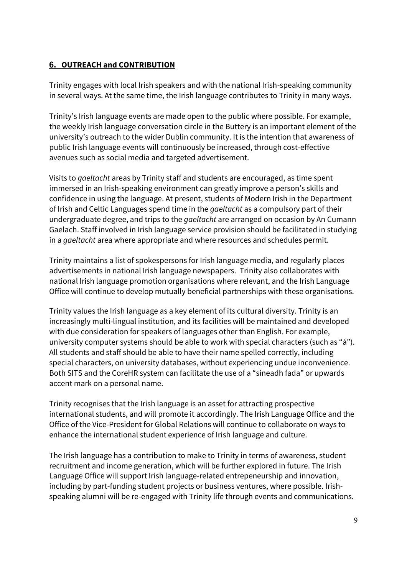## **6. OUTREACH and CONTRIBUTION**

Trinity engages with local Irish speakers and with the national Irish-speaking community in several ways. At the same time, the Irish language contributes to Trinity in many ways.

Trinity's Irish language events are made open to the public where possible. For example, the weekly Irish language conversation circle in the Buttery is an important element of the university's outreach to the wider Dublin community. It is the intention that awareness of public Irish language events will continuously be increased, through cost-effective avenues such as social media and targeted advertisement.

Visits to *gaeltacht* areas by Trinity staff and students are encouraged, as time spent immersed in an Irish-speaking environment can greatly improve a person's skills and confidence in using the language. At present, students of Modern Irish in the Department of Irish and Celtic Languages spend time in the *gaeltacht* as a compulsory part of their undergraduate degree, and trips to the *gaeltacht* are arranged on occasion by An Cumann Gaelach. Staff involved in Irish language service provision should be facilitated in studying in a *gaeltacht* area where appropriate and where resources and schedules permit.

Trinity maintains a list of spokespersons for Irish language media, and regularly places advertisements in national Irish language newspapers. Trinity also collaborates with national Irish language promotion organisations where relevant, and the Irish Language Office will continue to develop mutually beneficial partnerships with these organisations.

Trinity values the Irish language as a key element of its cultural diversity. Trinity is an increasingly multi-lingual institution, and its facilities will be maintained and developed with due consideration for speakers of languages other than English. For example, university computer systems should be able to work with special characters (such as "á"). All students and staff should be able to have their name spelled correctly, including special characters, on university databases, without experiencing undue inconvenience. Both SITS and the CoreHR system can facilitate the use of a "sineadh fada" or upwards accent mark on a personal name.

Trinity recognises that the Irish language is an asset for attracting prospective international students, and will promote it accordingly. The Irish Language Office and the Office of the Vice-President for Global Relations will continue to collaborate on ways to enhance the international student experience of Irish language and culture.

The Irish language has a contribution to make to Trinity in terms of awareness, student recruitment and income generation, which will be further explored in future. The Irish Language Office will support Irish language-related entrepeneurship and innovation, including by part-funding student projects or business ventures, where possible. Irishspeaking alumni will be re-engaged with Trinity life through events and communications.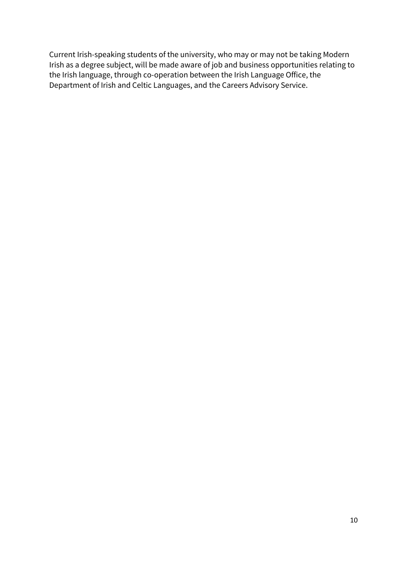Current Irish-speaking students of the university, who may or may not be taking Modern Irish as a degree subject, will be made aware of job and business opportunities relating to the Irish language, through co-operation between the Irish Language Office, the Department of Irish and Celtic Languages, and the Careers Advisory Service.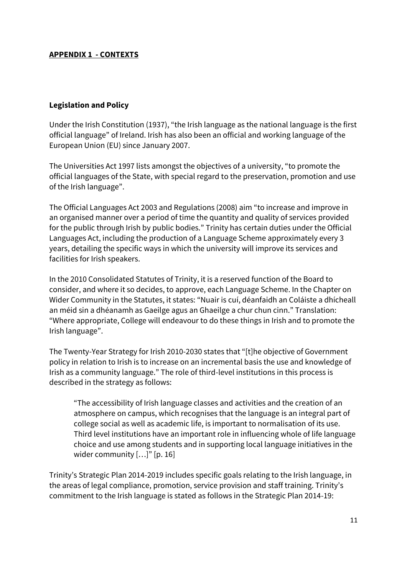#### **APPENDIX 1 - CONTEXTS**

#### **Legislation and Policy**

Under the Irish Constitution (1937), "the Irish language as the national language is the first official languageȋ of Ireland. Irish has also been an official and working language of the European Union (EU) since January 2007.

The Universities Act 1997 lists amongst the objectives of a university, "to promote the official languages of the State, with special regard to the preservation, promotion and use of the Irish language".

The Official Languages Act 2003 and Regulations (2008) aim "to increase and improve in an organised manner over a period of time the quantity and quality of services provided for the public through Irish by public bodies." Trinity has certain duties under the Official Languages Act, including the production of a Language Scheme approximately every 3 years, detailing the specific ways in which the university will improve its services and facilities for Irish speakers.

In the 2010 Consolidated Statutes of Trinity, it is a reserved function of the Board to consider, and where it so decides, to approve, each Language Scheme. In the Chapter on Wider Community in the Statutes, it states: "Nuair is cuí, déanfaidh an Coláiste a dhícheall an méid sin a dhéanamh as Gaeilge agus an Ghaeilge a chur chun cinn." Translation: ȊWhere appropriate, College will endeavour to do these things in Irish and to promote the Irish languageȋ.

The Twenty-Year Strategy for Irish 2010-2030 states that "[t]he objective of Government policy in relation to Irish is to increase on an incremental basis the use and knowledge of Irish as a community language." The role of third-level institutions in this process is described in the strategy as follows:

ȊThe accessibility of Irish language classes and activities and the creation of an atmosphere on campus, which recognises that the language is an integral part of college social as well as academic life, is important to normalisation of its use. Third level institutions have an important role in influencing whole of life language choice and use among students and in supporting local language initiatives in the wider community  $[...]$ " [p. 16]

Trinity's Strategic Plan 2014-2019 includes specific goals relating to the Irish language, in the areas of legal compliance, promotion, service provision and staff training. Trinity's commitment to the Irish language is stated as follows in the Strategic Plan 2014-19: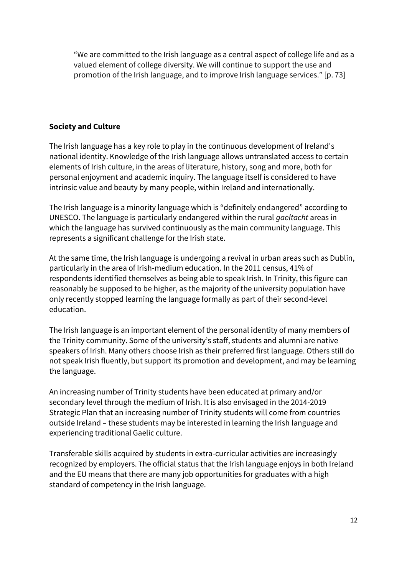ȊWe are committed to the Irish language as a central aspect of college life and as a valued element of college diversity. We will continue to support the use and promotion of the Irish language, and to improve Irish language services." [p. 73]

#### **Society and Culture**

The Irish language has a key role to play in the continuous development of Ireland's national identity. Knowledge of the Irish language allows untranslated access to certain elements of Irish culture, in the areas of literature, history, song and more, both for personal enjoyment and academic inquiry. The language itself is considered to have intrinsic value and beauty by many people, within Ireland and internationally.

The Irish language is a minority language which is "definitely endangered" according to UNESCO. The language is particularly endangered within the rural *gaeltacht* areas in which the language has survived continuously as the main community language. This represents a significant challenge for the Irish state.

At the same time, the Irish language is undergoing a revival in urban areas such as Dublin, particularly in the area of Irish-medium education. In the 2011 census, 41% of respondents identified themselves as being able to speak Irish. In Trinity, this figure can reasonably be supposed to be higher, as the majority of the university population have only recently stopped learning the language formally as part of their second-level education.

The Irish language is an important element of the personal identity of many members of the Trinity community. Some of the university's staff, students and alumni are native speakers of Irish. Many others choose Irish as their preferred first language. Others still do not speak Irish fluently, but support its promotion and development, and may be learning the language.

An increasing number of Trinity students have been educated at primary and/or secondary level through the medium of Irish. It is also envisaged in the 2014-2019 Strategic Plan that an increasing number of Trinity students will come from countries outside Ireland – these students may be interested in learning the Irish language and experiencing traditional Gaelic culture.

Transferable skills acquired by students in extra-curricular activities are increasingly recognized by employers. The official status that the Irish language enjoys in both Ireland and the EU means that there are many job opportunities for graduates with a high standard of competency in the Irish language.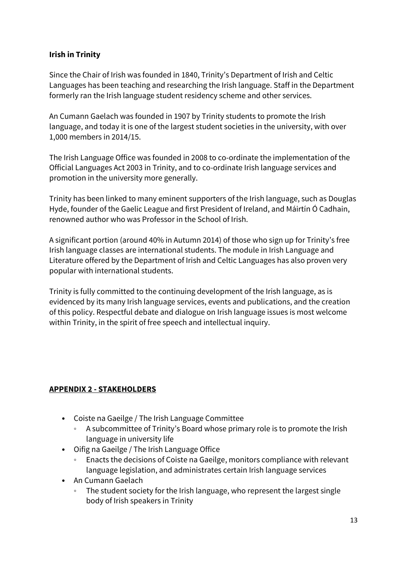#### **Irish in Trinity**

Since the Chair of Irish was founded in 1840, Trinity's Department of Irish and Celtic Languages has been teaching and researching the Irish language. Staff in the Department formerly ran the Irish language student residency scheme and other services.

An Cumann Gaelach was founded in 1907 by Trinity students to promote the Irish language, and today it is one of the largest student societies in the university, with over 1,000 members in 2014/15.

The Irish Language Office was founded in 2008 to co-ordinate the implementation of the Official Languages Act 2003 in Trinity, and to co-ordinate Irish language services and promotion in the university more generally.

Trinity has been linked to many eminent supporters of the Irish language, such as Douglas Hyde, founder of the Gaelic League and first President of Ireland, and Máirtín Ó Cadhain, renowned author who was Professor in the School of Irish.

A significant portion (around 40% in Autumn 2014) of those who sign up for Trinity's free Irish language classes are international students. The module in Irish Language and Literature offered by the Department of Irish and Celtic Languages has also proven very popular with international students.

Trinity is fully committed to the continuing development of the Irish language, as is evidenced by its many Irish language services, events and publications, and the creation of this policy. Respectful debate and dialogue on Irish language issues is most welcome within Trinity, in the spirit of free speech and intellectual inquiry.

#### **APPENDIX 2 - STAKEHOLDERS**

- Coiste na Gaeilge / The Irish Language Committee
	- A subcommittee of Trinity's Board whose primary role is to promote the Irish language in university life
- Oifig na Gaeilge / The Irish Language Office
	- Enacts the decisions of Coiste na Gaeilge, monitors compliance with relevant language legislation, and administrates certain Irish language services
- An Cumann Gaelach
	- The student society for the Irish language, who represent the largest single body of Irish speakers in Trinity